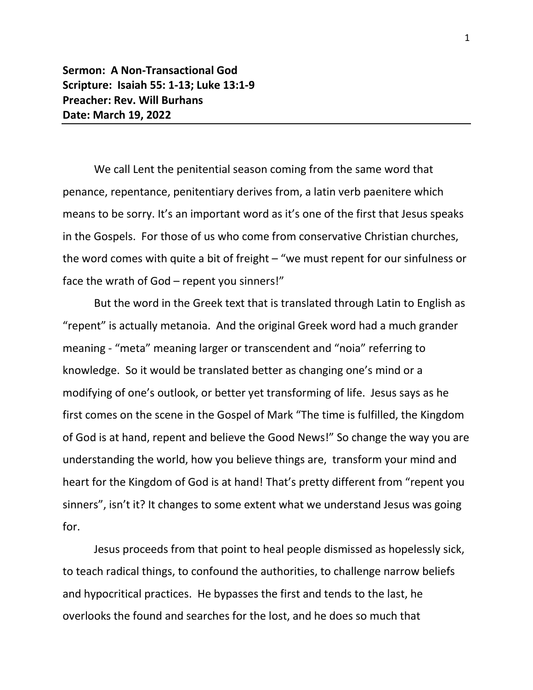**Sermon: A Non-Transactional God Scripture: Isaiah 55: 1-13; Luke 13:1-9 Preacher: Rev. Will Burhans Date: March 19, 2022**

We call Lent the penitential season coming from the same word that penance, repentance, penitentiary derives from, a latin verb paenitere which means to be sorry. It's an important word as it's one of the first that Jesus speaks in the Gospels. For those of us who come from conservative Christian churches, the word comes with quite a bit of freight – "we must repent for our sinfulness or face the wrath of God – repent you sinners!"

But the word in the Greek text that is translated through Latin to English as "repent" is actually metanoia. And the original Greek word had a much grander meaning - "meta" meaning larger or transcendent and "noia" referring to knowledge. So it would be translated better as changing one's mind or a modifying of one's outlook, or better yet transforming of life. Jesus says as he first comes on the scene in the Gospel of Mark "The time is fulfilled, the Kingdom of God is at hand, repent and believe the Good News!" So change the way you are understanding the world, how you believe things are, transform your mind and heart for the Kingdom of God is at hand! That's pretty different from "repent you sinners", isn't it? It changes to some extent what we understand Jesus was going for.

Jesus proceeds from that point to heal people dismissed as hopelessly sick, to teach radical things, to confound the authorities, to challenge narrow beliefs and hypocritical practices. He bypasses the first and tends to the last, he overlooks the found and searches for the lost, and he does so much that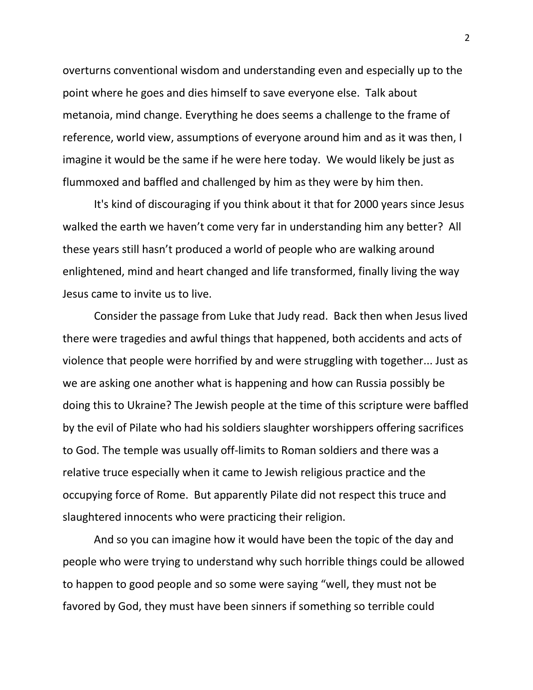overturns conventional wisdom and understanding even and especially up to the point where he goes and dies himself to save everyone else. Talk about metanoia, mind change. Everything he does seems a challenge to the frame of reference, world view, assumptions of everyone around him and as it was then, I imagine it would be the same if he were here today. We would likely be just as flummoxed and baffled and challenged by him as they were by him then.

It's kind of discouraging if you think about it that for 2000 years since Jesus walked the earth we haven't come very far in understanding him any better? All these years still hasn't produced a world of people who are walking around enlightened, mind and heart changed and life transformed, finally living the way Jesus came to invite us to live.

Consider the passage from Luke that Judy read. Back then when Jesus lived there were tragedies and awful things that happened, both accidents and acts of violence that people were horrified by and were struggling with together... Just as we are asking one another what is happening and how can Russia possibly be doing this to Ukraine? The Jewish people at the time of this scripture were baffled by the evil of Pilate who had his soldiers slaughter worshippers offering sacrifices to God. The temple was usually off-limits to Roman soldiers and there was a relative truce especially when it came to Jewish religious practice and the occupying force of Rome. But apparently Pilate did not respect this truce and slaughtered innocents who were practicing their religion.

And so you can imagine how it would have been the topic of the day and people who were trying to understand why such horrible things could be allowed to happen to good people and so some were saying "well, they must not be favored by God, they must have been sinners if something so terrible could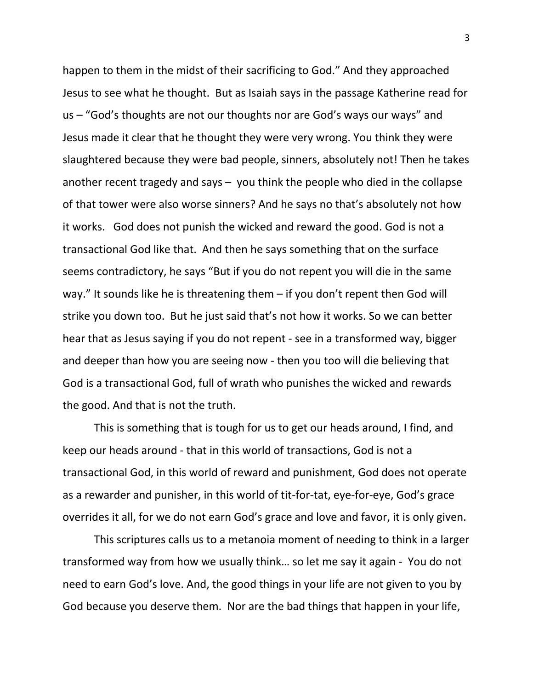happen to them in the midst of their sacrificing to God." And they approached Jesus to see what he thought. But as Isaiah says in the passage Katherine read for us – "God's thoughts are not our thoughts nor are God's ways our ways" and Jesus made it clear that he thought they were very wrong. You think they were slaughtered because they were bad people, sinners, absolutely not! Then he takes another recent tragedy and says – you think the people who died in the collapse of that tower were also worse sinners? And he says no that's absolutely not how it works. God does not punish the wicked and reward the good. God is not a transactional God like that. And then he says something that on the surface seems contradictory, he says "But if you do not repent you will die in the same way." It sounds like he is threatening them – if you don't repent then God will strike you down too. But he just said that's not how it works. So we can better hear that as Jesus saying if you do not repent - see in a transformed way, bigger and deeper than how you are seeing now - then you too will die believing that God is a transactional God, full of wrath who punishes the wicked and rewards the good. And that is not the truth.

This is something that is tough for us to get our heads around, I find, and keep our heads around - that in this world of transactions, God is not a transactional God, in this world of reward and punishment, God does not operate as a rewarder and punisher, in this world of tit-for-tat, eye-for-eye, God's grace overrides it all, for we do not earn God's grace and love and favor, it is only given.

This scriptures calls us to a metanoia moment of needing to think in a larger transformed way from how we usually think… so let me say it again - You do not need to earn God's love. And, the good things in your life are not given to you by God because you deserve them. Nor are the bad things that happen in your life,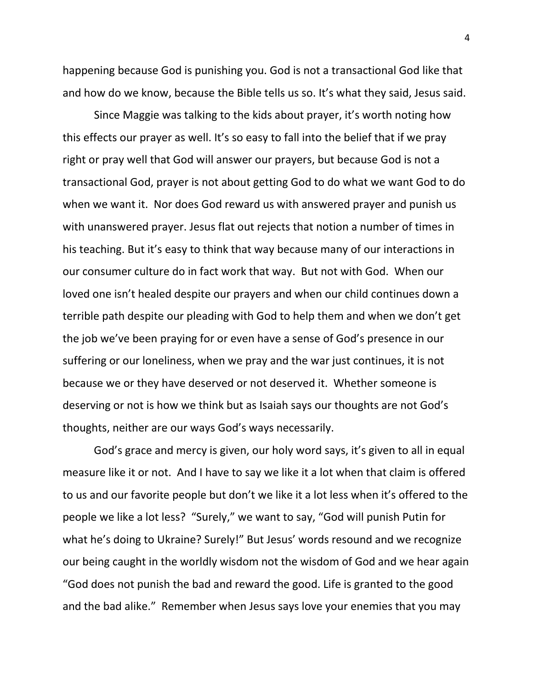happening because God is punishing you. God is not a transactional God like that and how do we know, because the Bible tells us so. It's what they said, Jesus said.

Since Maggie was talking to the kids about prayer, it's worth noting how this effects our prayer as well. It's so easy to fall into the belief that if we pray right or pray well that God will answer our prayers, but because God is not a transactional God, prayer is not about getting God to do what we want God to do when we want it. Nor does God reward us with answered prayer and punish us with unanswered prayer. Jesus flat out rejects that notion a number of times in his teaching. But it's easy to think that way because many of our interactions in our consumer culture do in fact work that way. But not with God. When our loved one isn't healed despite our prayers and when our child continues down a terrible path despite our pleading with God to help them and when we don't get the job we've been praying for or even have a sense of God's presence in our suffering or our loneliness, when we pray and the war just continues, it is not because we or they have deserved or not deserved it. Whether someone is deserving or not is how we think but as Isaiah says our thoughts are not God's thoughts, neither are our ways God's ways necessarily.

God's grace and mercy is given, our holy word says, it's given to all in equal measure like it or not. And I have to say we like it a lot when that claim is offered to us and our favorite people but don't we like it a lot less when it's offered to the people we like a lot less? "Surely," we want to say, "God will punish Putin for what he's doing to Ukraine? Surely!" But Jesus' words resound and we recognize our being caught in the worldly wisdom not the wisdom of God and we hear again "God does not punish the bad and reward the good. Life is granted to the good and the bad alike." Remember when Jesus says love your enemies that you may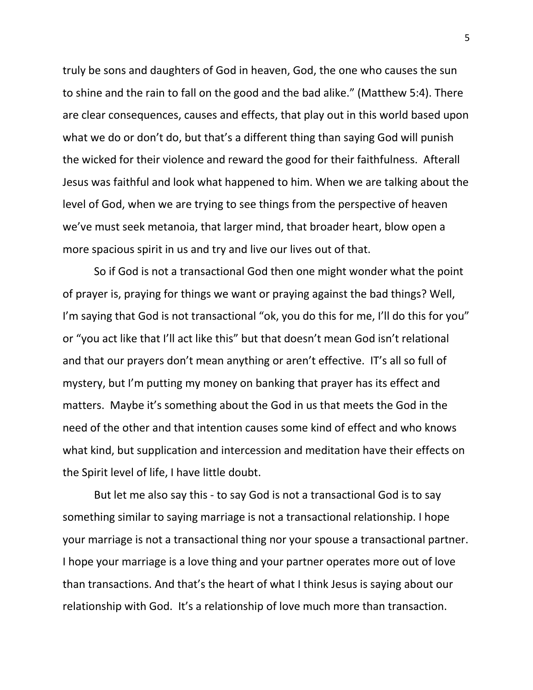truly be sons and daughters of God in heaven, God, the one who causes the sun to shine and the rain to fall on the good and the bad alike." (Matthew 5:4). There are clear consequences, causes and effects, that play out in this world based upon what we do or don't do, but that's a different thing than saying God will punish the wicked for their violence and reward the good for their faithfulness. Afterall Jesus was faithful and look what happened to him. When we are talking about the level of God, when we are trying to see things from the perspective of heaven we've must seek metanoia, that larger mind, that broader heart, blow open a more spacious spirit in us and try and live our lives out of that.

So if God is not a transactional God then one might wonder what the point of prayer is, praying for things we want or praying against the bad things? Well, I'm saying that God is not transactional "ok, you do this for me, I'll do this for you" or "you act like that I'll act like this" but that doesn't mean God isn't relational and that our prayers don't mean anything or aren't effective. IT's all so full of mystery, but I'm putting my money on banking that prayer has its effect and matters. Maybe it's something about the God in us that meets the God in the need of the other and that intention causes some kind of effect and who knows what kind, but supplication and intercession and meditation have their effects on the Spirit level of life, I have little doubt.

But let me also say this - to say God is not a transactional God is to say something similar to saying marriage is not a transactional relationship. I hope your marriage is not a transactional thing nor your spouse a transactional partner. I hope your marriage is a love thing and your partner operates more out of love than transactions. And that's the heart of what I think Jesus is saying about our relationship with God. It's a relationship of love much more than transaction.